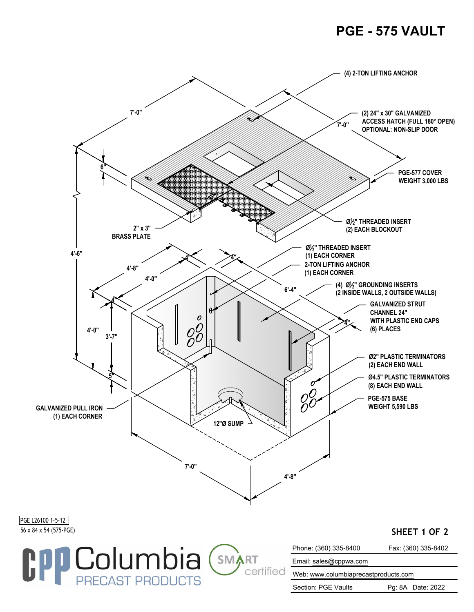## **PGE - 575 VAULT**



Section: PGE Vaults Pg: 8A Date: 2022